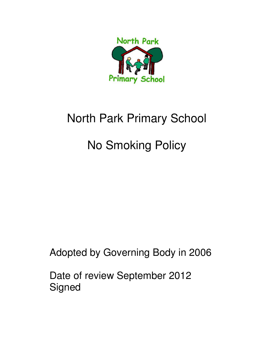

# North Park Primary School No Smoking Policy

Adopted by Governing Body in 2006

Date of review September 2012 **Signed**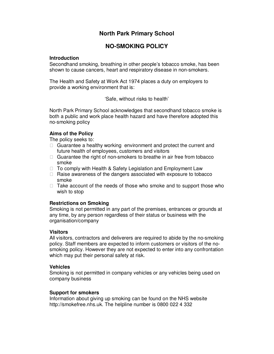# **North Park Primary School**

# **NO-SMOKING POLICY**

#### **Introduction**

Secondhand smoking, breathing in other people's tobacco smoke, has been shown to cause cancers, heart and respiratory disease in non-smokers.

The Health and Safety at Work Act 1974 places a duty on employers to provide a working environment that is:

'Safe, without risks to health'

North Park Primary School acknowledges that secondhand tobacco smoke is both a public and work place health hazard and have therefore adopted this no-smoking policy

## **Aims of the Policy**

The policy seeks to:

 Guarantee a healthy working environment and protect the current and future health of employees, customers and visitors

 Guarantee the right of non-smokers to breathe in air free from tobacco smoke

 To comply with Health & Safety Legislation and Employment Law Raise awareness of the dangers associated with exposure to tobacco smoke

 Take account of the needs of those who smoke and to support those who wish to stop

## **Restrictions on Smoking**

Smoking is not permitted in any part of the premises, entrances or grounds at any time, by any person regardless of their status or business with the organisation/company

## **Visitors**

All visitors, contractors and deliverers are required to abide by the no-smoking policy. Staff members are expected to inform customers or visitors of the nosmoking policy. However they are not expected to enter into any confrontation which may put their personal safety at risk.

#### **Vehicles**

Smoking is not permitted in company vehicles or any vehicles being used on company business

## **Support for smokers**

Information about giving up smoking can be found on the NHS website http://smokefree.nhs.uk. The helpline number is 0800 022 4 332